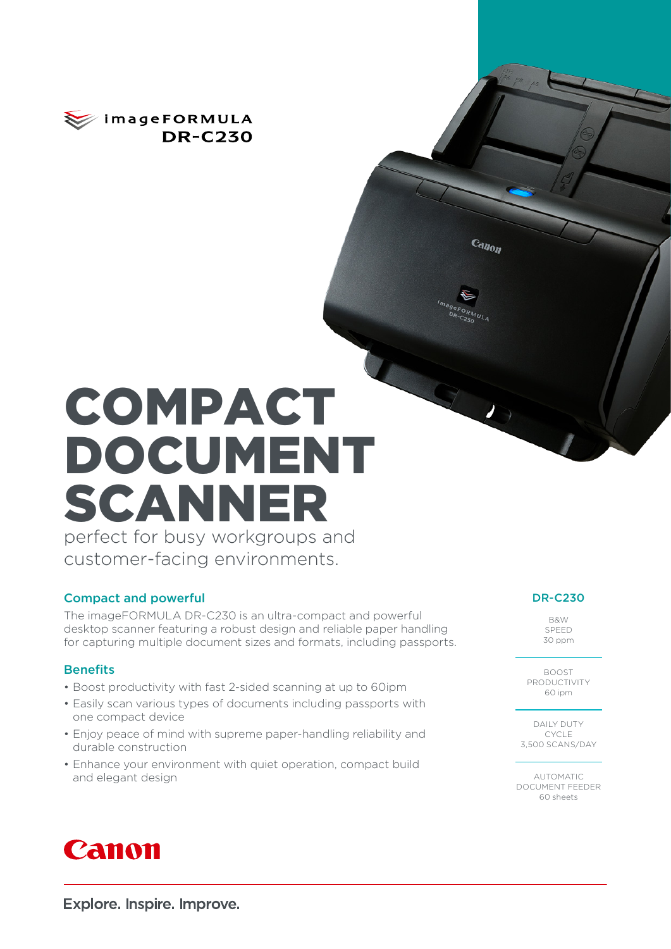

# COMPACT DOCUMENT SCANNER perfect for busy workgroups and

customer-facing environments.

### Compact and powerful

The imageFORMULA DR-C230 is an ultra-compact and powerful desktop scanner featuring a robust design and reliable paper handling for capturing multiple document sizes and formats, including passports.

### **Benefits**

- Boost productivity with fast 2-sided scanning at up to 60ipm
- Easily scan various types of documents including passports with one compact device
- Enjoy peace of mind with supreme paper-handling reliability and durable construction
- Enhance your environment with quiet operation, compact build and elegant design

### DR-C230

 $c_{a n_{0n}}$ 

B&W SPEED 30 ppm

BOOST PRODUCTIVITY 60 ipm

DAILY DUTY CYCLE 3,500 SCANS/DAY

AUTOMATIC DOCUMENT FEEDER 60 sheets



Explore. Inspire. Improve.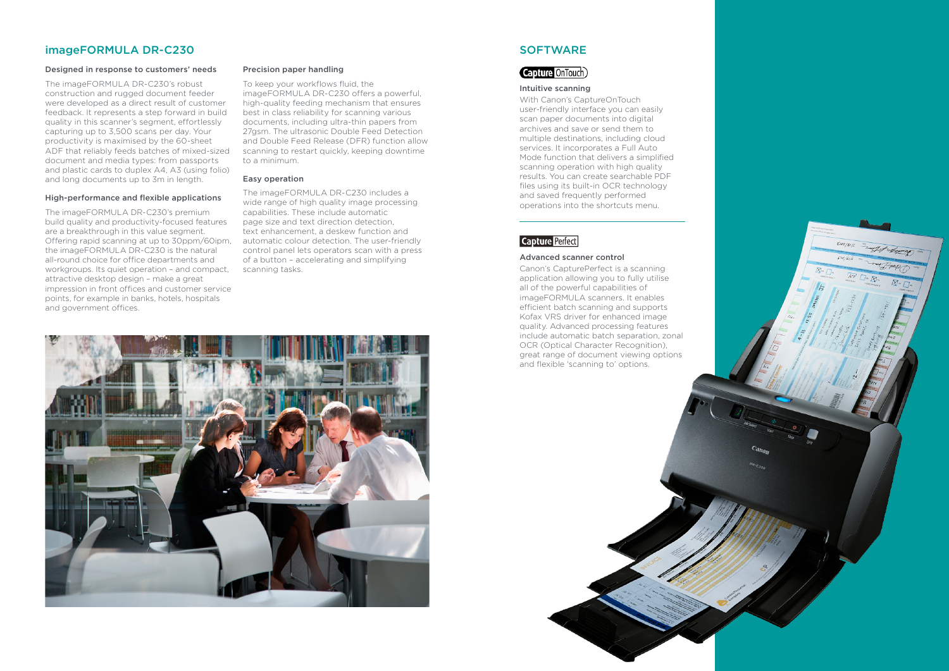### imageFORMULA DR-C230

### Designed in response to customers' needs

The imageFORMULA DR-C230's robust construction and rugged document feeder were developed as a direct result of customer feedback. It represents a step forward in build quality in this scanner's segment, effortlessly capturing up to 3,500 scans per day. Your productivity is maximised by the 60-sheet ADF that reliably feeds batches of mixed-sized document and media types: from passports and plastic cards to duplex A4, A3 (using folio) and long documents up to 3m in length.

### High-performance and flexible applications

The imageFORMULA DR-C230's premium build quality and productivity-focused features are a breakthrough in this value segment. Offering rapid scanning at up to 30ppm/60ipm, the imageFORMULA DR-C230 is the natural all-round choice for office departments and workgroups. Its quiet operation – and compact, attractive desktop design – make a great impression in front offices and customer service points, for example in banks, hotels, hospitals and government offices.

### Precision paper handling

To keep your workflows fluid, the imageFORMULA DR-C230 offers a powerful, high-quality feeding mechanism that ensures best in class reliability for scanning various documents, including ultra-thin papers from 27gsm. The ultrasonic Double Feed Detection and Double Feed Release (DFR) function allow scanning to restart quickly, keeping downtime to a minimum.

### Easy operation

The imageFORMULA DR-C230 includes a wide range of high quality image processing capabilities. These include automatic page size and text direction detection, text enhancement, a deskew function and automatic colour detection. The user-friendly control panel lets operators scan with a press of a button – accelerating and simplifying scanning tasks.



### **SOFTWARE**

### Capture OnTouch)

### Intuitive scanning

With Canon's CaptureOnTouch user-friendly interface you can easily scan paper documents into digital archives and save or send them to multiple destinations, including cloud services. It incorporates a Full Auto Mode function that delivers a simplified scanning operation with high quality results. You can create searchable PDF files using its built-in OCR technology and saved frequently performed operations into the shortcuts menu.

### **Capture Perfect**

### Advanced scanner control

Canon's CapturePerfect is a scanning application allowing you to fully utilise all of the powerful capabilities of imageFORMULA scanners. It enables efficient batch scanning and supports Kofax VRS driver for enhanced image quality. Advanced processing features include automatic batch separation, zonal OCR (Optical Character Recognition), great range of document viewing options and flexible 'scanning to' options.